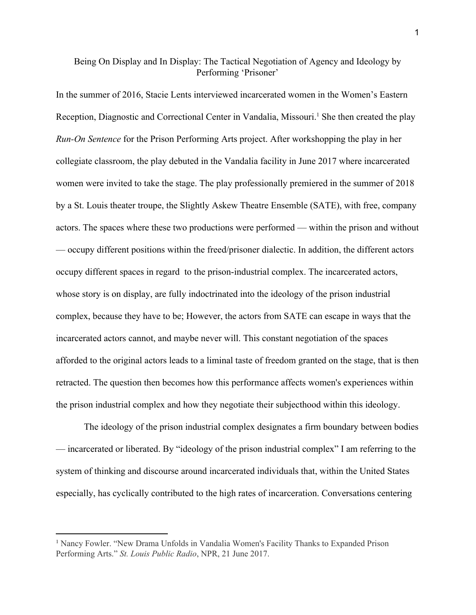## Being On Display and In Display: The Tactical Negotiation of Agency and Ideology by Performing 'Prisoner'

In the summer of 2016, Stacie Lents interviewed incarcerated women in the Women's Eastern Reception, Diagnostic and Correctional Center in Vandalia, Missouri.<sup>1</sup> She then created the play *Run-On Sentence* for the Prison Performing Arts project. After workshopping the play in her collegiate classroom, the play debuted in the Vandalia facility in June 2017 where incarcerated women were invited to take the stage. The play professionally premiered in the summer of 2018 by a St. Louis theater troupe, the Slightly Askew Theatre Ensemble (SATE), with free, company actors. The spaces where these two productions were performed — within the prison and without — occupy different positions within the freed/prisoner dialectic. In addition, the different actors occupy different spaces in regard to the prison-industrial complex. The incarcerated actors, whose story is on display, are fully indoctrinated into the ideology of the prison industrial complex, because they have to be; However, the actors from SATE can escape in ways that the incarcerated actors cannot, and maybe never will. This constant negotiation of the spaces afforded to the original actors leads to a liminal taste of freedom granted on the stage, that is then retracted. The question then becomes how this performance affects women's experiences within the prison industrial complex and how they negotiate their subjecthood within this ideology.

The ideology of the prison industrial complex designates a firm boundary between bodies — incarcerated or liberated. By "ideology of the prison industrial complex" I am referring to the system of thinking and discourse around incarcerated individuals that, within the United States especially, has cyclically contributed to the high rates of incarceration. Conversations centering

<sup>1</sup> Nancy Fowler. "New Drama Unfolds in Vandalia Women's Facility Thanks to Expanded Prison Performing Arts." *St. Louis Public Radio*, NPR, 21 June 2017.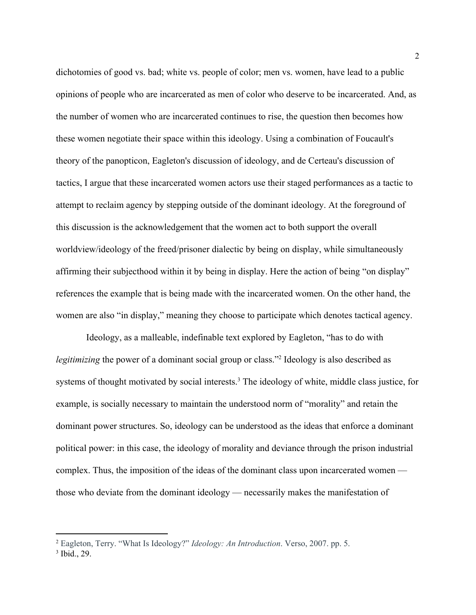dichotomies of good vs. bad; white vs. people of color; men vs. women, have lead to a public opinions of people who are incarcerated as men of color who deserve to be incarcerated. And, as the number of women who are incarcerated continues to rise, the question then becomes how these women negotiate their space within this ideology. Using a combination of Foucault's theory of the panopticon, Eagleton's discussion of ideology, and de Certeau's discussion of tactics, I argue that these incarcerated women actors use their staged performances as a tactic to attempt to reclaim agency by stepping outside of the dominant ideology. At the foreground of this discussion is the acknowledgement that the women act to both support the overall worldview/ideology of the freed/prisoner dialectic by being on display, while simultaneously affirming their subjecthood within it by being in display. Here the action of being "on display" references the example that is being made with the incarcerated women. On the other hand, the women are also "in display," meaning they choose to participate which denotes tactical agency.

 Ideology, as a malleable, indefinable text explored by Eagleton, "has to do with *legitimizing* the power of a dominant social group or class."<sup>2</sup> Ideology is also described as systems of thought motivated by social interests.<sup>3</sup> The ideology of white, middle class justice, for example, is socially necessary to maintain the understood norm of "morality" and retain the dominant power structures. So, ideology can be understood as the ideas that enforce a dominant political power: in this case, the ideology of morality and deviance through the prison industrial complex. Thus, the imposition of the ideas of the dominant class upon incarcerated women those who deviate from the dominant ideology — necessarily makes the manifestation of

<sup>2</sup> Eagleton, Terry. "What Is Ideology?" *Ideology: An Introduction*. Verso, 2007. pp. 5.

<sup>3</sup> Ibid., 29.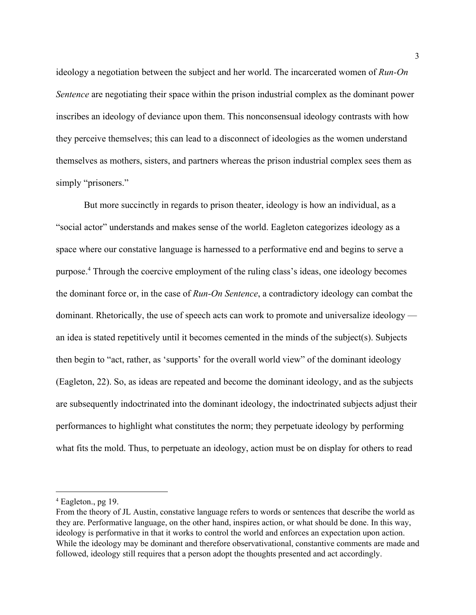ideology a negotiation between the subject and her world. The incarcerated women of *Run-On Sentence* are negotiating their space within the prison industrial complex as the dominant power inscribes an ideology of deviance upon them. This nonconsensual ideology contrasts with how they perceive themselves; this can lead to a disconnect of ideologies as the women understand themselves as mothers, sisters, and partners whereas the prison industrial complex sees them as simply "prisoners."

But more succinctly in regards to prison theater, ideology is how an individual, as a "social actor" understands and makes sense of the world. Eagleton categorizes ideology as a space where our constative language is harnessed to a performative end and begins to serve a purpose.<sup>4</sup> Through the coercive employment of the ruling class's ideas, one ideology becomes the dominant force or, in the case of *Run-On Sentence*, a contradictory ideology can combat the dominant. Rhetorically, the use of speech acts can work to promote and universalize ideology an idea is stated repetitively until it becomes cemented in the minds of the subject(s). Subjects then begin to "act, rather, as 'supports' for the overall world view" of the dominant ideology (Eagleton, 22). So, as ideas are repeated and become the dominant ideology, and as the subjects are subsequently indoctrinated into the dominant ideology, the indoctrinated subjects adjust their performances to highlight what constitutes the norm; they perpetuate ideology by performing what fits the mold. Thus, to perpetuate an ideology, action must be on display for others to read

<sup>4</sup> Eagleton., pg 19.

From the theory of JL Austin, constative language refers to words or sentences that describe the world as they are. Performative language, on the other hand, inspires action, or what should be done. In this way, ideology is performative in that it works to control the world and enforces an expectation upon action. While the ideology may be dominant and therefore observativational, constantive comments are made and followed, ideology still requires that a person adopt the thoughts presented and act accordingly.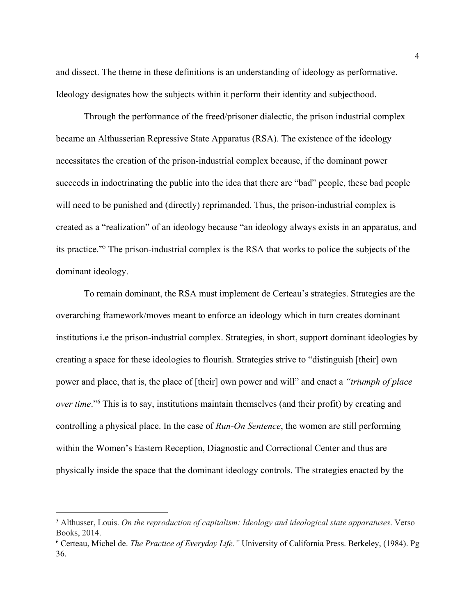and dissect. The theme in these definitions is an understanding of ideology as performative. Ideology designates how the subjects within it perform their identity and subjecthood.

Through the performance of the freed/prisoner dialectic, the prison industrial complex became an Althusserian Repressive State Apparatus (RSA). The existence of the ideology necessitates the creation of the prison-industrial complex because, if the dominant power succeeds in indoctrinating the public into the idea that there are "bad" people, these bad people will need to be punished and (directly) reprimanded. Thus, the prison-industrial complex is created as a "realization" of an ideology because "an ideology always exists in an apparatus, and its practice."<sup>5</sup> The prison-industrial complex is the RSA that works to police the subjects of the dominant ideology.

To remain dominant, the RSA must implement de Certeau's strategies. Strategies are the overarching framework/moves meant to enforce an ideology which in turn creates dominant institutions i.e the prison-industrial complex. Strategies, in short, support dominant ideologies by creating a space for these ideologies to flourish. Strategies strive to "distinguish [their] own power and place, that is, the place of [their] own power and will" and enact a *"triumph of place over time.*"<sup>6</sup> This is to say, institutions maintain themselves (and their profit) by creating and controlling a physical place. In the case of *Run-On Sentence*, the women are still performing within the Women's Eastern Reception, Diagnostic and Correctional Center and thus are physically inside the space that the dominant ideology controls. The strategies enacted by the

<sup>5</sup> Althusser, Louis. *On the reproduction of capitalism: Ideology and ideological state apparatuses*. Verso Books, 2014.

<sup>6</sup> Certeau, Michel de. *The Practice of Everyday Life."* University of California Press. Berkeley, (1984). Pg 36.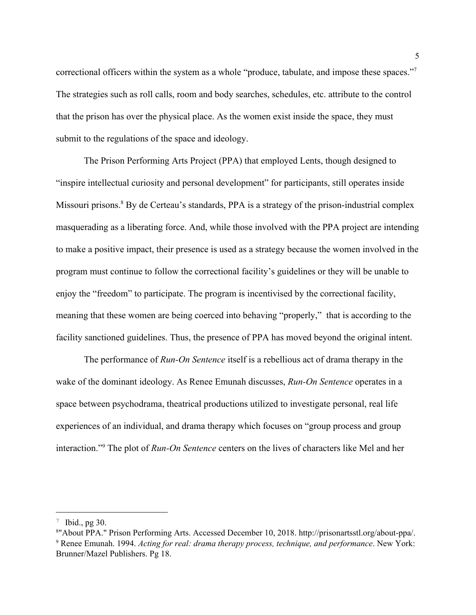correctional officers within the system as a whole "produce, tabulate, and impose these spaces."<sup>7</sup> The strategies such as roll calls, room and body searches, schedules, etc. attribute to the control that the prison has over the physical place. As the women exist inside the space, they must submit to the regulations of the space and ideology.

The Prison Performing Arts Project (PPA) that employed Lents, though designed to "inspire intellectual curiosity and personal development" for participants, still operates inside Missouri prisons.<sup>8</sup> By de Certeau's standards, PPA is a strategy of the prison-industrial complex masquerading as a liberating force. And, while those involved with the PPA project are intending to make a positive impact, their presence is used as a strategy because the women involved in the program must continue to follow the correctional facility's guidelines or they will be unable to enjoy the "freedom" to participate. The program is incentivised by the correctional facility, meaning that these women are being coerced into behaving "properly," that is according to the facility sanctioned guidelines. Thus, the presence of PPA has moved beyond the original intent.

The performance of *Run-On Sentence* itself is a rebellious act of drama therapy in the wake of the dominant ideology. As Renee Emunah discusses, *Run-On Sentence* operates in a space between psychodrama, theatrical productions utilized to investigate personal, real life experiences of an individual, and drama therapy which focuses on "group process and group interaction."<sup>9</sup> The plot of *Run-On Sentence* centers on the lives of characters like Mel and her

 $7$  Ibid., pg 30.

<sup>8</sup>"About PPA." Prison Performing Arts. Accessed December 10, 2018. http://prisonartsstl.org/about-ppa/. <sup>9</sup> Renee Emunah. 1994. *Acting for real: drama therapy process, technique, and performance*. New York: Brunner/Mazel Publishers. Pg 18.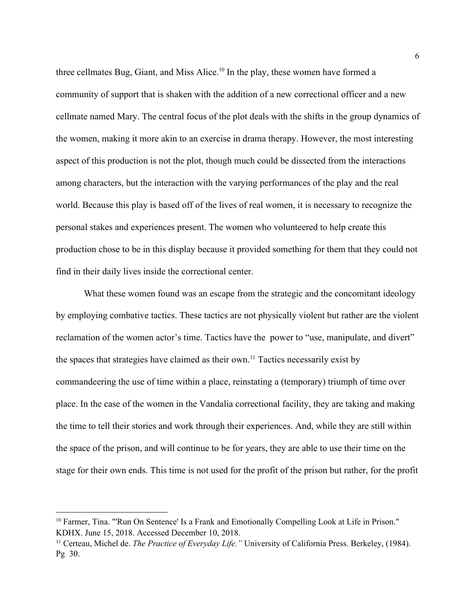three cellmates Bug, Giant, and Miss Alice.<sup>10</sup> In the play, these women have formed a community of support that is shaken with the addition of a new correctional officer and a new cellmate named Mary. The central focus of the plot deals with the shifts in the group dynamics of the women, making it more akin to an exercise in drama therapy. However, the most interesting aspect of this production is not the plot, though much could be dissected from the interactions among characters, but the interaction with the varying performances of the play and the real world. Because this play is based off of the lives of real women, it is necessary to recognize the personal stakes and experiences present. The women who volunteered to help create this production chose to be in this display because it provided something for them that they could not find in their daily lives inside the correctional center.

What these women found was an escape from the strategic and the concomitant ideology by employing combative tactics. These tactics are not physically violent but rather are the violent reclamation of the women actor's time. Tactics have the power to "use, manipulate, and divert" the spaces that strategies have claimed as their own.<sup>11</sup> Tactics necessarily exist by commandeering the use of time within a place, reinstating a (temporary) triumph of time over place. In the case of the women in the Vandalia correctional facility, they are taking and making the time to tell their stories and work through their experiences. And, while they are still within the space of the prison, and will continue to be for years, they are able to use their time on the stage for their own ends. This time is not used for the profit of the prison but rather, for the profit

<sup>10</sup> Farmer, Tina. "'Run On Sentence' Is a Frank and Emotionally Compelling Look at Life in Prison." KDHX. June 15, 2018. Accessed December 10, 2018.

<sup>11</sup> Certeau, Michel de. *The Practice of Everyday Life."* University of California Press. Berkeley, (1984). Pg 30.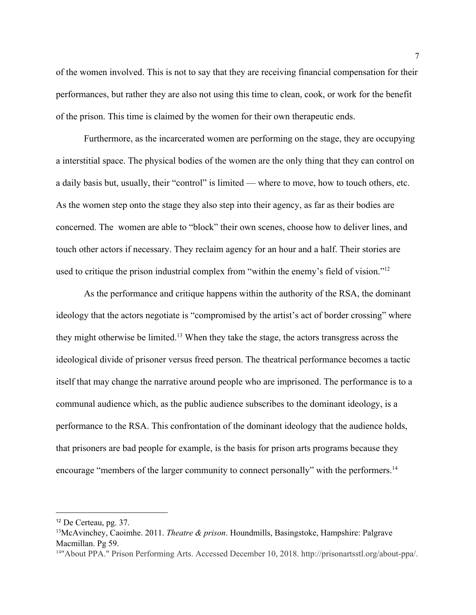of the women involved. This is not to say that they are receiving financial compensation for their performances, but rather they are also not using this time to clean, cook, or work for the benefit of the prison. This time is claimed by the women for their own therapeutic ends.

Furthermore, as the incarcerated women are performing on the stage, they are occupying a interstitial space. The physical bodies of the women are the only thing that they can control on a daily basis but, usually, their "control" is limited — where to move, how to touch others, etc. As the women step onto the stage they also step into their agency, as far as their bodies are concerned. The women are able to "block" their own scenes, choose how to deliver lines, and touch other actors if necessary. They reclaim agency for an hour and a half. Their stories are used to critique the prison industrial complex from "within the enemy's field of vision."<sup>12</sup>

As the performance and critique happens within the authority of the RSA, the dominant ideology that the actors negotiate is "compromised by the artist's act of border crossing" where they might otherwise be limited.<sup>13</sup> When they take the stage, the actors transgress across the ideological divide of prisoner versus freed person. The theatrical performance becomes a tactic itself that may change the narrative around people who are imprisoned. The performance is to a communal audience which, as the public audience subscribes to the dominant ideology, is a performance to the RSA. This confrontation of the dominant ideology that the audience holds, that prisoners are bad people for example, is the basis for prison arts programs because they encourage "members of the larger community to connect personally" with the performers.<sup>14</sup>

<sup>12</sup> De Certeau, pg. 37.

<sup>13</sup>McAvinchey, Caoimhe. 2011. *Theatre & prison*. Houndmills, Basingstoke, Hampshire: Palgrave Macmillan. Pg 59.

<sup>14</sup>"About PPA." Prison Performing Arts. Accessed December 10, 2018. http://prisonartsstl.org/about-ppa/.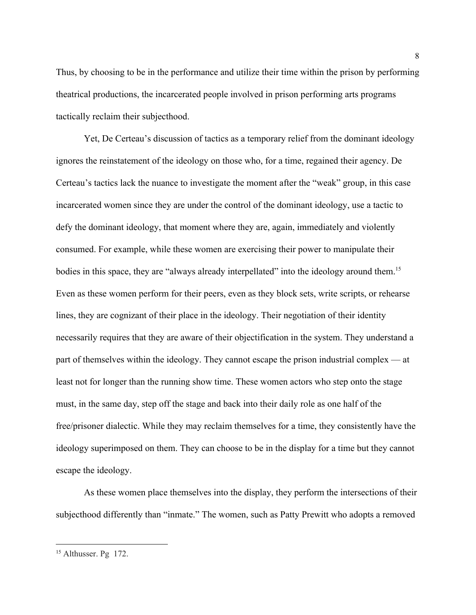Thus, by choosing to be in the performance and utilize their time within the prison by performing theatrical productions, the incarcerated people involved in prison performing arts programs tactically reclaim their subjecthood.

Yet, De Certeau's discussion of tactics as a temporary relief from the dominant ideology ignores the reinstatement of the ideology on those who, for a time, regained their agency. De Certeau's tactics lack the nuance to investigate the moment after the "weak" group, in this case incarcerated women since they are under the control of the dominant ideology, use a tactic to defy the dominant ideology, that moment where they are, again, immediately and violently consumed. For example, while these women are exercising their power to manipulate their bodies in this space, they are "always already interpellated" into the ideology around them.<sup>15</sup> Even as these women perform for their peers, even as they block sets, write scripts, or rehearse lines, they are cognizant of their place in the ideology. Their negotiation of their identity necessarily requires that they are aware of their objectification in the system. They understand a part of themselves within the ideology. They cannot escape the prison industrial complex — at least not for longer than the running show time. These women actors who step onto the stage must, in the same day, step off the stage and back into their daily role as one half of the free/prisoner dialectic. While they may reclaim themselves for a time, they consistently have the ideology superimposed on them. They can choose to be in the display for a time but they cannot escape the ideology.

As these women place themselves into the display, they perform the intersections of their subjecthood differently than "inmate." The women, such as Patty Prewitt who adopts a removed

<sup>&</sup>lt;sup>15</sup> Althusser. Pg 172.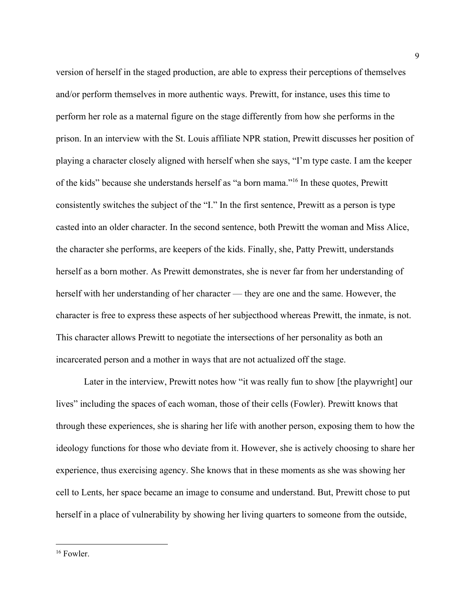version of herself in the staged production, are able to express their perceptions of themselves and/or perform themselves in more authentic ways. Prewitt, for instance, uses this time to perform her role as a maternal figure on the stage differently from how she performs in the prison. In an interview with the St. Louis affiliate NPR station, Prewitt discusses her position of playing a character closely aligned with herself when she says, "I'm type caste. I am the keeper of the kids" because she understands herself as "a born mama."<sup>16</sup> In these quotes, Prewitt consistently switches the subject of the "I." In the first sentence, Prewitt as a person is type casted into an older character. In the second sentence, both Prewitt the woman and Miss Alice, the character she performs, are keepers of the kids. Finally, she, Patty Prewitt, understands herself as a born mother. As Prewitt demonstrates, she is never far from her understanding of herself with her understanding of her character — they are one and the same. However, the character is free to express these aspects of her subjecthood whereas Prewitt, the inmate, is not. This character allows Prewitt to negotiate the intersections of her personality as both an incarcerated person and a mother in ways that are not actualized off the stage.

Later in the interview, Prewitt notes how "it was really fun to show [the playwright] our lives" including the spaces of each woman, those of their cells (Fowler). Prewitt knows that through these experiences, she is sharing her life with another person, exposing them to how the ideology functions for those who deviate from it. However, she is actively choosing to share her experience, thus exercising agency. She knows that in these moments as she was showing her cell to Lents, her space became an image to consume and understand. But, Prewitt chose to put herself in a place of vulnerability by showing her living quarters to someone from the outside,

<sup>&</sup>lt;sup>16</sup> Fowler.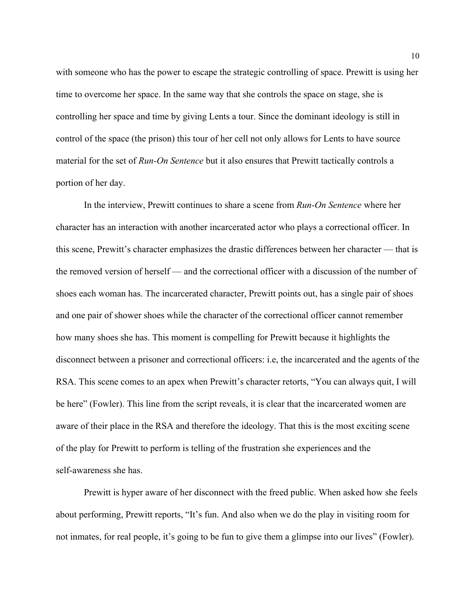with someone who has the power to escape the strategic controlling of space. Prewitt is using her time to overcome her space. In the same way that she controls the space on stage, she is controlling her space and time by giving Lents a tour. Since the dominant ideology is still in control of the space (the prison) this tour of her cell not only allows for Lents to have source material for the set of *Run-On Sentence* but it also ensures that Prewitt tactically controls a portion of her day.

In the interview, Prewitt continues to share a scene from *Run-On Sentence* where her character has an interaction with another incarcerated actor who plays a correctional officer. In this scene, Prewitt's character emphasizes the drastic differences between her character — that is the removed version of herself — and the correctional officer with a discussion of the number of shoes each woman has. The incarcerated character, Prewitt points out, has a single pair of shoes and one pair of shower shoes while the character of the correctional officer cannot remember how many shoes she has. This moment is compelling for Prewitt because it highlights the disconnect between a prisoner and correctional officers: i.e, the incarcerated and the agents of the RSA. This scene comes to an apex when Prewitt's character retorts, "You can always quit, I will be here" (Fowler). This line from the script reveals, it is clear that the incarcerated women are aware of their place in the RSA and therefore the ideology. That this is the most exciting scene of the play for Prewitt to perform is telling of the frustration she experiences and the self-awareness she has.

Prewitt is hyper aware of her disconnect with the freed public. When asked how she feels about performing, Prewitt reports, "It's fun. And also when we do the play in visiting room for not inmates, for real people, it's going to be fun to give them a glimpse into our lives" (Fowler).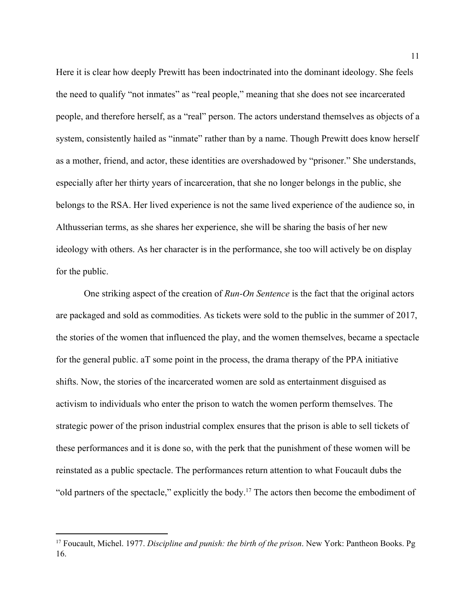Here it is clear how deeply Prewitt has been indoctrinated into the dominant ideology. She feels the need to qualify "not inmates" as "real people," meaning that she does not see incarcerated people, and therefore herself, as a "real" person. The actors understand themselves as objects of a system, consistently hailed as "inmate" rather than by a name. Though Prewitt does know herself as a mother, friend, and actor, these identities are overshadowed by "prisoner." She understands, especially after her thirty years of incarceration, that she no longer belongs in the public, she belongs to the RSA. Her lived experience is not the same lived experience of the audience so, in Althusserian terms, as she shares her experience, she will be sharing the basis of her new ideology with others. As her character is in the performance, she too will actively be on display for the public.

One striking aspect of the creation of *Run-On Sentence* is the fact that the original actors are packaged and sold as commodities. As tickets were sold to the public in the summer of 2017, the stories of the women that influenced the play, and the women themselves, became a spectacle for the general public. aT some point in the process, the drama therapy of the PPA initiative shifts. Now, the stories of the incarcerated women are sold as entertainment disguised as activism to individuals who enter the prison to watch the women perform themselves. The strategic power of the prison industrial complex ensures that the prison is able to sell tickets of these performances and it is done so, with the perk that the punishment of these women will be reinstated as a public spectacle. The performances return attention to what Foucault dubs the "old partners of the spectacle," explicitly the body.<sup>17</sup> The actors then become the embodiment of

<sup>17</sup> Foucault, Michel. 1977. *Discipline and punish: the birth of the prison*. New York: Pantheon Books. Pg 16.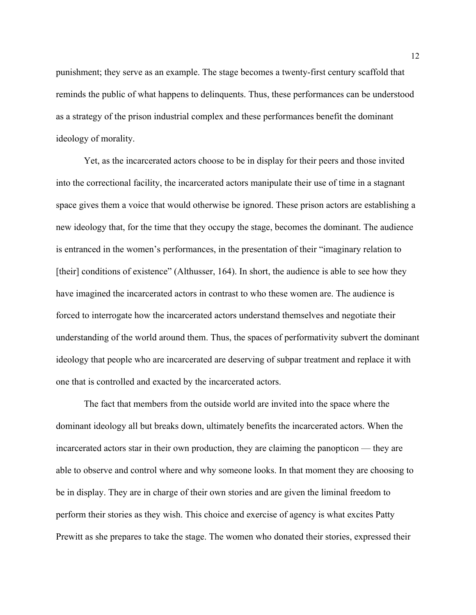punishment; they serve as an example. The stage becomes a twenty-first century scaffold that reminds the public of what happens to delinquents. Thus, these performances can be understood as a strategy of the prison industrial complex and these performances benefit the dominant ideology of morality.

Yet, as the incarcerated actors choose to be in display for their peers and those invited into the correctional facility, the incarcerated actors manipulate their use of time in a stagnant space gives them a voice that would otherwise be ignored. These prison actors are establishing a new ideology that, for the time that they occupy the stage, becomes the dominant. The audience is entranced in the women's performances, in the presentation of their "imaginary relation to [their] conditions of existence" (Althusser, 164). In short, the audience is able to see how they have imagined the incarcerated actors in contrast to who these women are. The audience is forced to interrogate how the incarcerated actors understand themselves and negotiate their understanding of the world around them. Thus, the spaces of performativity subvert the dominant ideology that people who are incarcerated are deserving of subpar treatment and replace it with one that is controlled and exacted by the incarcerated actors.

The fact that members from the outside world are invited into the space where the dominant ideology all but breaks down, ultimately benefits the incarcerated actors. When the incarcerated actors star in their own production, they are claiming the panopticon — they are able to observe and control where and why someone looks. In that moment they are choosing to be in display. They are in charge of their own stories and are given the liminal freedom to perform their stories as they wish. This choice and exercise of agency is what excites Patty Prewitt as she prepares to take the stage. The women who donated their stories, expressed their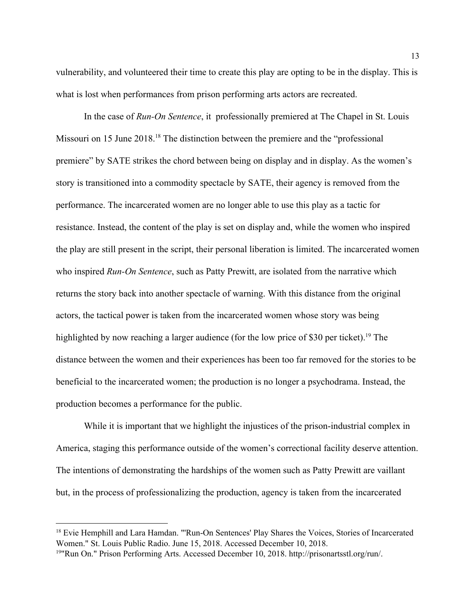vulnerability, and volunteered their time to create this play are opting to be in the display. This is what is lost when performances from prison performing arts actors are recreated.

In the case of *Run-On Sentence*, it professionally premiered at The Chapel in St. Louis Missouri on 15 June 2018.<sup>18</sup> The distinction between the premiere and the "professional" premiere" by SATE strikes the chord between being on display and in display. As the women's story is transitioned into a commodity spectacle by SATE, their agency is removed from the performance. The incarcerated women are no longer able to use this play as a tactic for resistance. Instead, the content of the play is set on display and, while the women who inspired the play are still present in the script, their personal liberation is limited. The incarcerated women who inspired *Run-On Sentence*, such as Patty Prewitt, are isolated from the narrative which returns the story back into another spectacle of warning. With this distance from the original actors, the tactical power is taken from the incarcerated women whose story was being highlighted by now reaching a larger audience (for the low price of \$30 per ticket).<sup>19</sup> The distance between the women and their experiences has been too far removed for the stories to be beneficial to the incarcerated women; the production is no longer a psychodrama. Instead, the production becomes a performance for the public.

While it is important that we highlight the injustices of the prison-industrial complex in America, staging this performance outside of the women's correctional facility deserve attention. The intentions of demonstrating the hardships of the women such as Patty Prewitt are vaillant but, in the process of professionalizing the production, agency is taken from the incarcerated

<sup>&</sup>lt;sup>18</sup> Evie Hemphill and Lara Hamdan. "'Run-On Sentences' Play Shares the Voices, Stories of Incarcerated Women." St. Louis Public Radio. June 15, 2018. Accessed December 10, 2018.

<sup>19</sup>"Run On." Prison Performing Arts. Accessed December 10, 2018. http://prisonartsstl.org/run/.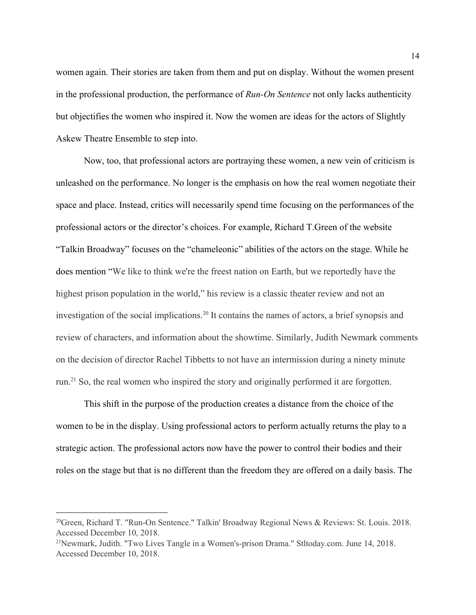women again. Their stories are taken from them and put on display. Without the women present in the professional production, the performance of *Run-On Sentence* not only lacks authenticity but objectifies the women who inspired it. Now the women are ideas for the actors of Slightly Askew Theatre Ensemble to step into.

Now, too, that professional actors are portraying these women, a new vein of criticism is unleashed on the performance. No longer is the emphasis on how the real women negotiate their space and place. Instead, critics will necessarily spend time focusing on the performances of the professional actors or the director's choices. For example, Richard T.Green of the website "Talkin Broadway" focuses on the "chameleonic" abilities of the actors on the stage. While he does mention "We like to think we're the freest nation on Earth, but we reportedly have the highest prison population in the world," his review is a classic theater review and not an investigation of the social implications.<sup>20</sup> It contains the names of actors, a brief synopsis and review of characters, and information about the showtime. Similarly, Judith Newmark comments on the decision of director Rachel Tibbetts to not have an intermission during a ninety minute run.<sup>21</sup> So, the real women who inspired the story and originally performed it are forgotten.

This shift in the purpose of the production creates a distance from the choice of the women to be in the display. Using professional actors to perform actually returns the play to a strategic action. The professional actors now have the power to control their bodies and their roles on the stage but that is no different than the freedom they are offered on a daily basis. The

<sup>20</sup>Green, Richard T. "Run-On Sentence." Talkin' Broadway Regional News & Reviews: St. Louis. 2018. Accessed December 10, 2018.

<sup>21</sup>Newmark, Judith. "Two Lives Tangle in a Women's-prison Drama." Stltoday.com. June 14, 2018. Accessed December 10, 2018.